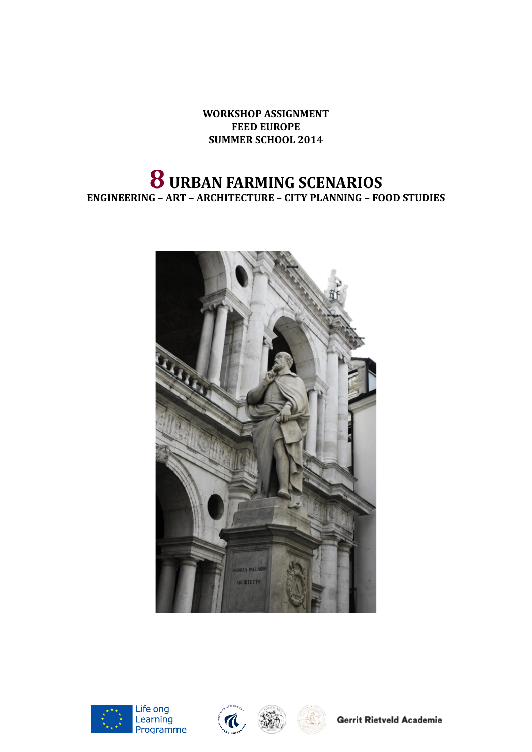**WORKSHOP ASSIGNMENT FEED EUROPE SUMMER SCHOOL 2014**

# **8 URBAN FARMING SCENARIOS ENGINEERING – ART – ARCHITECTURE – CITY PLANNING – FOOD STUDIES**











**Gerrit Rietveld Academie**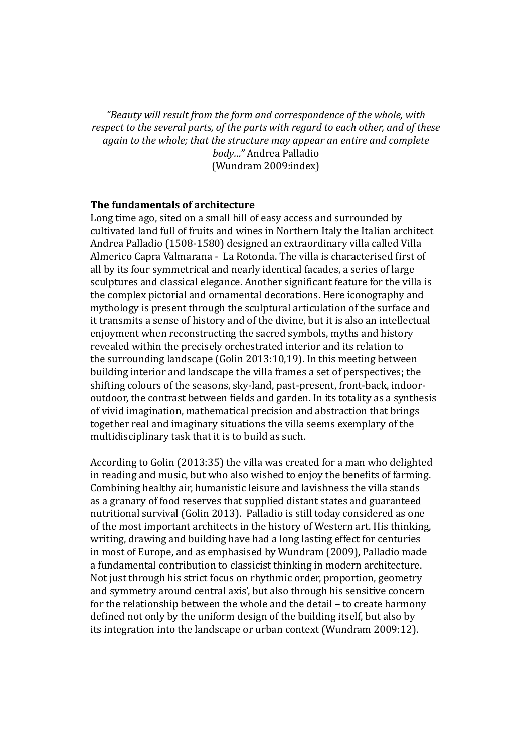*"Beauty will result from the form and correspondence of the whole, with respect to the several parts, of the parts with regard to each other, and of these again to the whole; that the structure may appear an entire and complete body…"* Andrea Palladio (Wundram 2009:index)

#### **The fundamentals of architecture**

Long time ago, sited on a small hill of easy access and surrounded by cultivated land full of fruits and wines in Northern Italy the Italian architect Andrea Palladio (1508-1580) designed an extraordinary villa called Villa Almerico Capra Valmarana - La Rotonda. The villa is characterised first of all by its four symmetrical and nearly identical facades, a series of large sculptures and classical elegance. Another significant feature for the villa is the complex pictorial and ornamental decorations. Here iconography and mythology is present through the sculptural articulation of the surface and it transmits a sense of history and of the divine, but it is also an intellectual enjoyment when reconstructing the sacred symbols, myths and history revealed within the precisely orchestrated interior and its relation to the surrounding landscape (Golin 2013:10,19). In this meeting between building interior and landscape the villa frames a set of perspectives; the shifting colours of the seasons, sky-land, past-present, front-back, indooroutdoor, the contrast between fields and garden. In its totality as a synthesis of vivid imagination, mathematical precision and abstraction that brings together real and imaginary situations the villa seems exemplary of the multidisciplinary task that it is to build as such.

According to Golin (2013:35) the villa was created for a man who delighted in reading and music, but who also wished to enjoy the benefits of farming. Combining healthy air, humanistic leisure and lavishness the villa stands as a granary of food reserves that supplied distant states and guaranteed nutritional survival (Golin 2013). Palladio is still today considered as one of the most important architects in the history of Western art. His thinking, writing, drawing and building have had a long lasting effect for centuries in most of Europe, and as emphasised by Wundram (2009), Palladio made a fundamental contribution to classicist thinking in modern architecture. Not just through his strict focus on rhythmic order, proportion, geometry and symmetry around central axis', but also through his sensitive concern for the relationship between the whole and the detail – to create harmony defined not only by the uniform design of the building itself, but also by its integration into the landscape or urban context (Wundram 2009:12).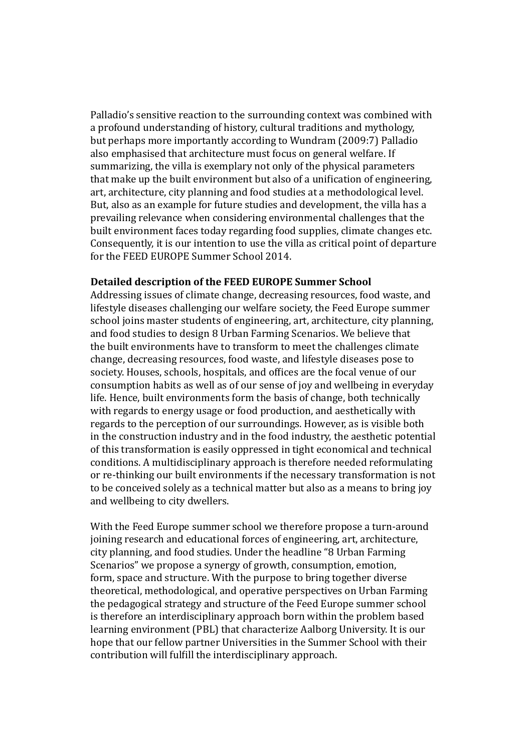Palladio's sensitive reaction to the surrounding context was combined with a profound understanding of history, cultural traditions and mythology, but perhaps more importantly according to Wundram (2009:7) Palladio also emphasised that architecture must focus on general welfare. If summarizing, the villa is exemplary not only of the physical parameters that make up the built environment but also of a unification of engineering, art, architecture, city planning and food studies at a methodological level. But, also as an example for future studies and development, the villa has a prevailing relevance when considering environmental challenges that the built environment faces today regarding food supplies, climate changes etc. Consequently, it is our intention to use the villa as critical point of departure for the FEED EUROPE Summer School 2014.

#### **Detailed description of the FEED EUROPE Summer School**

Addressing issues of climate change, decreasing resources, food waste, and lifestyle diseases challenging our welfare society, the Feed Europe summer school joins master students of engineering, art, architecture, city planning, and food studies to design 8 Urban Farming Scenarios. We believe that the built environments have to transform to meet the challenges climate change, decreasing resources, food waste, and lifestyle diseases pose to society. Houses, schools, hospitals, and offices are the focal venue of our consumption habits as well as of our sense of joy and wellbeing in everyday life. Hence, built environments form the basis of change, both technically with regards to energy usage or food production, and aesthetically with regards to the perception of our surroundings. However, as is visible both in the construction industry and in the food industry, the aesthetic potential of this transformation is easily oppressed in tight economical and technical conditions. A multidisciplinary approach is therefore needed reformulating or re-thinking our built environments if the necessary transformation is not to be conceived solely as a technical matter but also as a means to bring joy and wellbeing to city dwellers.

With the Feed Europe summer school we therefore propose a turn-around joining research and educational forces of engineering, art, architecture, city planning, and food studies. Under the headline "8 Urban Farming Scenarios" we propose a synergy of growth, consumption, emotion, form, space and structure. With the purpose to bring together diverse theoretical, methodological, and operative perspectives on Urban Farming the pedagogical strategy and structure of the Feed Europe summer school is therefore an interdisciplinary approach born within the problem based learning environment (PBL) that characterize Aalborg University. It is our hope that our fellow partner Universities in the Summer School with their contribution will fulfill the interdisciplinary approach.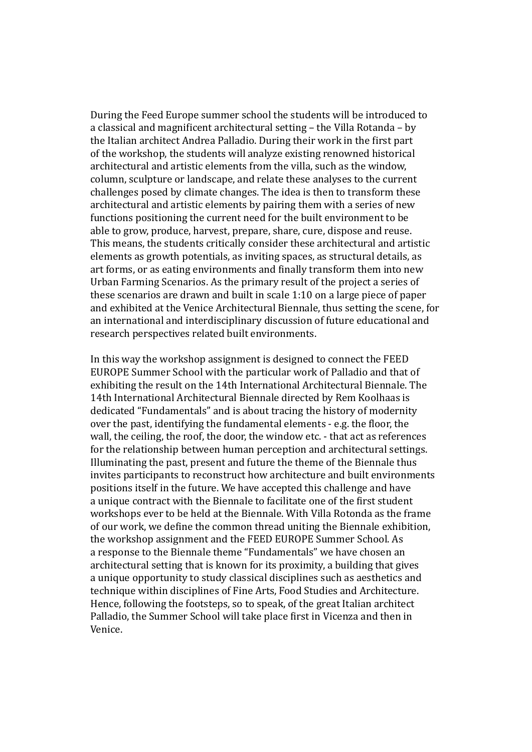During the Feed Europe summer school the students will be introduced to a classical and magnificent architectural setting – the Villa Rotanda – by the Italian architect Andrea Palladio. During their work in the first part of the workshop, the students will analyze existing renowned historical architectural and artistic elements from the villa, such as the window, column, sculpture or landscape, and relate these analyses to the current challenges posed by climate changes. The idea is then to transform these architectural and artistic elements by pairing them with a series of new functions positioning the current need for the built environment to be able to grow, produce, harvest, prepare, share, cure, dispose and reuse. This means, the students critically consider these architectural and artistic elements as growth potentials, as inviting spaces, as structural details, as art forms, or as eating environments and finally transform them into new Urban Farming Scenarios. As the primary result of the project a series of these scenarios are drawn and built in scale 1:10 on a large piece of paper and exhibited at the Venice Architectural Biennale, thus setting the scene, for an international and interdisciplinary discussion of future educational and research perspectives related built environments.

In this way the workshop assignment is designed to connect the FEED EUROPE Summer School with the particular work of Palladio and that of exhibiting the result on the 14th International Architectural Biennale. The 14th International Architectural Biennale directed by Rem Koolhaas is dedicated "Fundamentals" and is about tracing the history of modernity over the past, identifying the fundamental elements - e.g. the floor, the wall, the ceiling, the roof, the door, the window etc. - that act as references for the relationship between human perception and architectural settings. Illuminating the past, present and future the theme of the Biennale thus invites participants to reconstruct how architecture and built environments positions itself in the future. We have accepted this challenge and have a unique contract with the Biennale to facilitate one of the first student workshops ever to be held at the Biennale. With Villa Rotonda as the frame of our work, we define the common thread uniting the Biennale exhibition, the workshop assignment and the FEED EUROPE Summer School. As a response to the Biennale theme "Fundamentals" we have chosen an architectural setting that is known for its proximity, a building that gives a unique opportunity to study classical disciplines such as aesthetics and technique within disciplines of Fine Arts, Food Studies and Architecture. Hence, following the footsteps, so to speak, of the great Italian architect Palladio, the Summer School will take place first in Vicenza and then in Venice.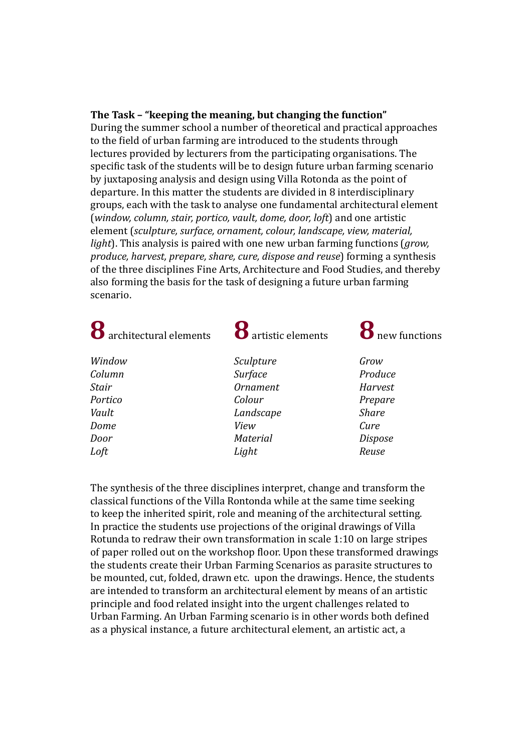#### **The Task – "keeping the meaning, but changing the function"**

During the summer school a number of theoretical and practical approaches to the field of urban farming are introduced to the students through lectures provided by lecturers from the participating organisations. The specific task of the students will be to design future urban farming scenario by juxtaposing analysis and design using Villa Rotonda as the point of departure. In this matter the students are divided in 8 interdisciplinary groups, each with the task to analyse one fundamental architectural element (*window, column, stair, portico, vault, dome, door, loft*) and one artistic element (*sculpture, surface, ornament, colour, landscape, view, material, light*). This analysis is paired with one new urban farming functions (*grow, produce, harvest, prepare, share, cure, dispose and reuse*) forming a synthesis of the three disciplines Fine Arts, Architecture and Food Studies, and thereby also forming the basis for the task of designing a future urban farming scenario.

| 8 architectural elements | <sup>8</sup> artistic elements | <b>8</b> new functions |
|--------------------------|--------------------------------|------------------------|
| Window                   | Sculpture                      | Grow                   |
| Column                   | Surface                        | Produce                |
| Stair                    | <b>Ornament</b>                | Harvest                |
| Portico                  | Colour                         | Prepare                |
| Vault                    | Landscape                      | <b>Share</b>           |
| Dome                     | View                           | Cure                   |
| Door                     | <b>Material</b>                | <b>Dispose</b>         |
| Loft                     | Light                          | Reuse                  |

The synthesis of the three disciplines interpret, change and transform the classical functions of the Villa Rontonda while at the same time seeking to keep the inherited spirit, role and meaning of the architectural setting. In practice the students use projections of the original drawings of Villa Rotunda to redraw their own transformation in scale 1:10 on large stripes of paper rolled out on the workshop floor. Upon these transformed drawings the students create their Urban Farming Scenarios as parasite structures to be mounted, cut, folded, drawn etc. upon the drawings. Hence, the students are intended to transform an architectural element by means of an artistic principle and food related insight into the urgent challenges related to Urban Farming. An Urban Farming scenario is in other words both defined as a physical instance, a future architectural element, an artistic act, a